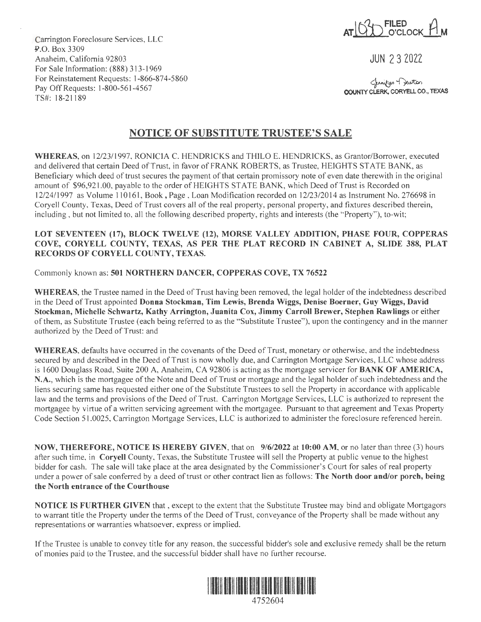$I \cap \{1\}$  FILED  $I$ **ATILLL\_O'CLOCK\_LIM** 

JUN 2 3 2022

**COUNTY CLERK, CORYELL CO., TEXAS** Jennifer Deuton

Carrington Foreclosure Services, LLC .P.O. Box 3309 Anaheim, California 92803 For Sale Information: (888) 313-1969 For Reinstatement Requests: l-866-874-5860 Pay Off Requests: l-800-561-4567 TS#: 18-21189

## **NOTICE OF SUBSTITUTE TRUSTEE'S SALE**

**WHEREAS,** on 12/23/1997, RONJCIA C. HENDRJCKS and THILO E. HENDRICKS, as Grantor/Borrower, executed and delivered that certain Deed of Trust, in favor of FRANK ROBERTS, as Trustee, HEIGHTS STATE BANK, as Beneficiary which deed of trust secures the payment of that certain promissory note of even date therewith in the original amount of \$96,921.00, payable to the order of HEIGHTS STATE BANK, which Deed of Trust is Recorded on 12/24/1997 as Volume 110161, Book, Page, Loan Modification recorded on 12/23/2014 as Instrument No. 276698 in Coryell County, Texas, Deed of Trust covers all of the real property, personal property, and fixtures described therein, including, but not limited to, all the following described property, rights and interests (the "Property"), to-wit;

## **LOT SEVENTEEN (17), BLOCK TWELVE (12), MORSE VALLEY ADDITION, PHASE FOUR, COPPERAS COVE, CORYELL COUNTY, TEXAS, AS PER THE PLAT RECORD IN CABINET A, SLIDE 388, PLAT RECORDS OF CORYELL COUNTY, TEXAS.**

## Commonly known as: **501 NORTHERN DANCER, COPPERAS COVE, TX 76522**

**WHEREAS,** the Trustee named in the Deed of Trust having been removed, the legal holder of the indebtedness described in the Deed of Trust appointed **Donna Stockman, Tim Lewis, Brenda Wiggs, Denise Boerner, Guy Wiggs, David Stockman, Michelle Schwartz, Kathy Arrington, Juanita Cox, Jimmy Carroll Brewer, Stephen Rawlings** or either of them, as Substitute Trustee (each being referred to as the "Substitute Trustee"), upon the contingency and in the manner authorized by the Deed of Trust: and

**WHEREAS,** defaults have occurred in the covenants of the Deed of Trust, monetary or otherwise, and the indebtedness secured by and described in the Deed of Trust is now wholly due, and Carrington Mortgage Services, LLC whose address is 1600 Douglass Road, Suite 200 A, Anaheim, CA 92806 is acting as the mortgage servicer for **BANK OF AMERICA, N.A.,** which is the mortgagee of the Note and Deed of Trust or mortgage and the legal holder of such indebtedness and the liens securing same has requested either one of the Substitute Trustees to sell the Property in accordance with applicable law and the terms and provisions of the Deed of Trust. Carrington Mortgage Services, LLC is authorized to represent the mortgagee by virtue of a written servicing agreement with the mortgagee. Pursuant to that agreement and Texas Property Code Section 51.0025, Carrington Mortgage Services, LLC is authorized to administer the foreclosure referenced herein.

**NOW, THEREFORE, NOTICE IS HEREBY GIVEN,** that on **9/6/2022** at **10:00 AM,** or no later than three (3) hours after such time, in **Coryell** County, Texas, the Substitute Trustee will sell the Property at public venue to the highest bidder for cash. The sale will take place at the area designated by the Commissioner's Court for sales of real property under a power of sale conferred by a deed of trust or other contract lien as follows: **The North door and/or porch, being the North entrance of the Courthouse** 

**NOTICE IS FURTHER GIVEN** that , except to the extent that the Substitute Trustee may bind and obligate Mortgagors to warrant title the Property under the terms of the Deed of Trust, conveyance of the Property shall be made without any representations or warranties whatsoever, express or implied.

If the Trustee is unable to convey title for any reason, the successful bidder's sole and exclusive remedy shall be the return of monies paid to the Trustee, and the successful bidder shall have no further recourse.